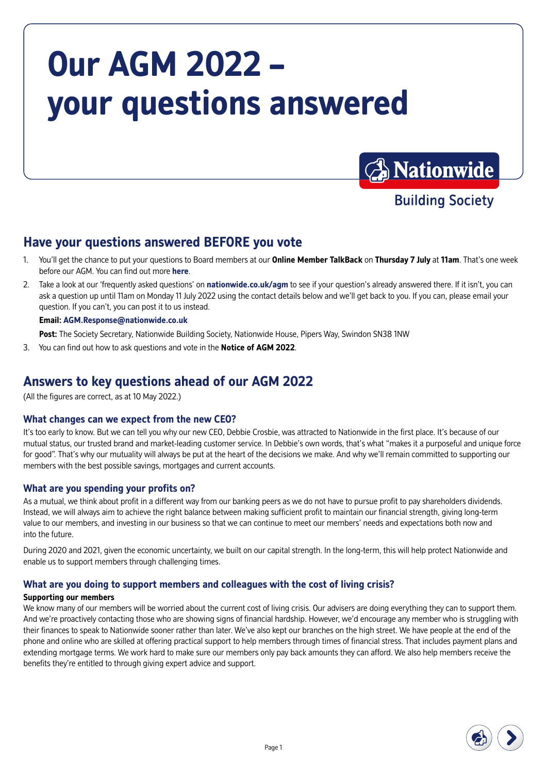# **Our AGM 2022 – your questions answered**



**Building Society** 

## **Have your questions answered BEFORE you vote**

- 1. You'll get the chance to put your questions to Board members at our **Online Member TalkBack** on **Thursday 7 July** at **11am**. That's one week before our AGM. You can find out more **[here](https://nationwide.co.uk/about-us/have-your-say/member-events)**.
- 2. Take a look at our 'frequently asked questions' on **[nationwide.co.uk/agm](https://nationwide.co.uk/agm)** to see if your question's already answered there. If it isn't, you can ask a question up until 11am on Monday 11 July 2022 using the contact details below and we'll get back to you. If you can, please email your question. If you can't, you can post it to us instead.

### **Email: [AGM.Response@nationwide.co.uk](mailto:AGM.Response%40nationwide.co.uk?subject=)**

**Post:** The Society Secretary, Nationwide Building Society, Nationwide House, Pipers Way, Swindon SN38 1NW

3. You can find out how to ask questions and vote in the **Notice of AGM 2022**.

### **Answers to key questions ahead of our AGM 2022**

(All the figures are correct, as at 10 May 2022.)

### **What changes can we expect from the new CEO?**

It's too early to know. But we can tell you why our new CEO, Debbie Crosbie, was attracted to Nationwide in the first place. It's because of our mutual status, our trusted brand and market-leading customer service. In Debbie's own words, that's what "makes it a purposeful and unique force for good". That's why our mutuality will always be put at the heart of the decisions we make. And why we'll remain committed to supporting our members with the best possible savings, mortgages and current accounts.

### **What are you spending your profits on?**

As a mutual, we think about profit in a different way from our banking peers as we do not have to pursue profit to pay shareholders dividends. Instead, we will always aim to achieve the right balance between making sufficient profit to maintain our financial strength, giving long-term value to our members, and investing in our business so that we can continue to meet our members' needs and expectations both now and into the future.

During 2020 and 2021, given the economic uncertainty, we built on our capital strength. In the long-term, this will help protect Nationwide and enable us to support members through challenging times.

### **What are you doing to support members and colleagues with the cost of living crisis?**

#### **Supporting our members**

We know many of our members will be worried about the current cost of living crisis. Our advisers are doing everything they can to support them. And we're proactively contacting those who are showing signs of financial hardship. However, we'd encourage any member who is struggling with their finances to speak to Nationwide sooner rather than later. We've also kept our branches on the high street. We have people at the end of the phone and online who are skilled at offering practical support to help members through times of financial stress. That includes payment plans and extending mortgage terms. We work hard to make sure our members only pay back amounts they can afford. We also help members receive the benefits they're entitled to through giving expert advice and support.

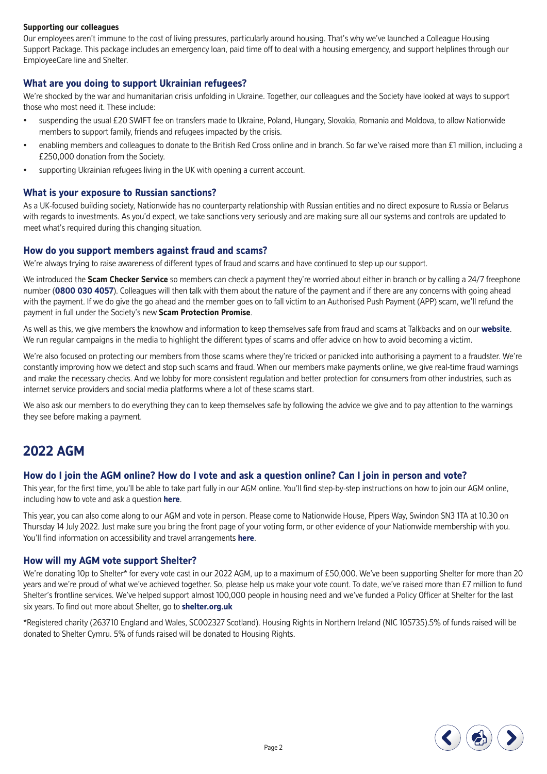#### **Supporting our colleagues**

Our employees aren't immune to the cost of living pressures, particularly around housing. That's why we've launched a Colleague Housing Support Package. This package includes an emergency loan, paid time off to deal with a housing emergency, and support helplines through our EmployeeCare line and Shelter.

### **What are you doing to support Ukrainian refugees?**

We're shocked by the war and humanitarian crisis unfolding in Ukraine. Together, our colleagues and the Society have looked at ways to support those who most need it. These include:

- suspending the usual £20 SWIFT fee on transfers made to Ukraine, Poland, Hungary, Slovakia, Romania and Moldova, to allow Nationwide members to support family, friends and refugees impacted by the crisis.
- enabling members and colleagues to donate to the British Red Cross online and in branch. So far we've raised more than £1 million, including a £250,000 donation from the Society.
- supporting Ukrainian refugees living in the UK with opening a current account.

#### **What is your exposure to Russian sanctions?**

As a UK-focused building society, Nationwide has no counterparty relationship with Russian entities and no direct exposure to Russia or Belarus with regards to investments. As you'd expect, we take sanctions very seriously and are making sure all our systems and controls are updated to meet what's required during this changing situation.

#### **How do you support members against fraud and scams?**

We're always trying to raise awareness of different types of fraud and scams and have continued to step up our support.

We introduced the **Scam Checker Service** so members can check a payment they're worried about either in branch or by calling a 24/7 freephone number (**0800 030 4057**). Colleagues will then talk with them about the nature of the payment and if there are any concerns with going ahead with the payment. If we do give the go ahead and the member goes on to fall victim to an Authorised Push Payment (APP) scam, we'll refund the payment in full under the Society's new **Scam Protection Promise**.

As well as this, we give members the knowhow and information to keep themselves safe from fraud and scams at Talkbacks and on our **[website](https://www.nationwide.co.uk/help/fraud-and-security/)**. We run regular campaigns in the media to highlight the different types of scams and offer advice on how to avoid becoming a victim.

We're also focused on protecting our members from those scams where they're tricked or panicked into authorising a payment to a fraudster. We're constantly improving how we detect and stop such scams and fraud. When our members make payments online, we give real-time fraud warnings and make the necessary checks. And we lobby for more consistent regulation and better protection for consumers from other industries, such as internet service providers and social media platforms where a lot of these scams start.

We also ask our members to do everything they can to keep themselves safe by following the advice we give and to pay attention to the warnings they see before making a payment.

### **2022 AGM**

#### **How do I join the AGM online? How do I vote and ask a question online? Can I join in person and vote?**

This year, for the first time, you'll be able to take part fully in our AGM online. You'll find step-by-step instructions on how to join our AGM online, including how to vote and ask a question **[here](https://www.nationwide.co.uk/about-us/have-your-say/our-agm/)**.

This year, you can also come along to our AGM and vote in person. Please come to Nationwide House, Pipers Way, Swindon SN3 1TA at 10.30 on Thursday 14 July 2022. Just make sure you bring the front page of your voting form, or other evidence of your Nationwide membership with you. You'll find information on accessibility and travel arrangements **[here](https://www.nationwide.co.uk/about-us/have-your-say/our-agm/)**.

#### **How will my AGM vote support Shelter?**

We're donating 10p to Shelter\* for every vote cast in our 2022 AGM, up to a maximum of £50,000. We've been supporting Shelter for more than 20 years and we're proud of what we've achieved together. So, please help us make your vote count. To date, we've raised more than £7 million to fund Shelter's frontline services. We've helped support almost 100,000 people in housing need and we've funded a Policy Officer at Shelter for the last six years. To find out more about Shelter, go to **[shelter.org.uk](http://www.shelter.org.uk)**

\*Registered charity (263710 England and Wales, SC002327 Scotland). Housing Rights in Northern Ireland (NIC 105735).5% of funds raised will be donated to Shelter Cymru. 5% of funds raised will be donated to Housing Rights.

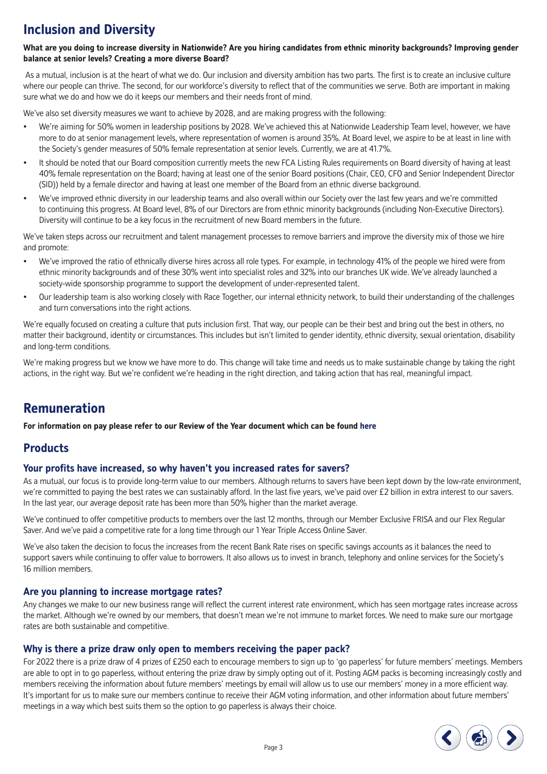# **Inclusion and Diversity**

#### **What are you doing to increase diversity in Nationwide? Are you hiring candidates from ethnic minority backgrounds? Improving gender balance at senior levels? Creating a more diverse Board?**

 As a mutual, inclusion is at the heart of what we do. Our inclusion and diversity ambition has two parts. The first is to create an inclusive culture where our people can thrive. The second, for our workforce's diversity to reflect that of the communities we serve. Both are important in making sure what we do and how we do it keeps our members and their needs front of mind.

We've also set diversity measures we want to achieve by 2028, and are making progress with the following:

- We're aiming for 50% women in leadership positions by 2028. We've achieved this at Nationwide Leadership Team level, however, we have more to do at senior management levels, where representation of women is around 35%. At Board level, we aspire to be at least in line with the Society's gender measures of 50% female representation at senior levels. Currently, we are at 41.7%.
- It should be noted that our Board composition currently meets the new FCA Listing Rules requirements on Board diversity of having at least 40% female representation on the Board; having at least one of the senior Board positions (Chair, CEO, CFO and Senior Independent Director (SID)) held by a female director and having at least one member of the Board from an ethnic diverse background.
- We've improved ethnic diversity in our leadership teams and also overall within our Society over the last few years and we're committed to continuing this progress. At Board level, 8% of our Directors are from ethnic minority backgrounds (including Non-Executive Directors). Diversity will continue to be a key focus in the recruitment of new Board members in the future.

We've taken steps across our recruitment and talent management processes to remove barriers and improve the diversity mix of those we hire and promote:

- We've improved the ratio of ethnically diverse hires across all role types. For example, in technology 41% of the people we hired were from ethnic minority backgrounds and of these 30% went into specialist roles and 32% into our branches UK wide. We've already launched a society-wide sponsorship programme to support the development of under-represented talent.
- Our leadership team is also working closely with Race Together, our internal ethnicity network, to build their understanding of the challenges and turn conversations into the right actions.

We're equally focused on creating a culture that puts inclusion first. That way, our people can be their best and bring out the best in others, no matter their background, identity or circumstances. This includes but isn't limited to gender identity, ethnic diversity, sexual orientation, disability and long-term conditions.

We're making progress but we know we have more to do. This change will take time and needs us to make sustainable change by taking the right actions, in the right way. But we're confident we're heading in the right direction, and taking action that has real, meaningful impact.

# **Remuneration**

**For information on pay please refer to our Review of the Year document which can be found [here](http://www.nationwide.co.uk/agm)**

### **Products**

### **Your profits have increased, so why haven't you increased rates for savers?**

As a mutual, our focus is to provide long-term value to our members. Although returns to savers have been kept down by the low-rate environment, we're committed to paying the best rates we can sustainably afford. In the last five years, we've paid over £2 billion in extra interest to our savers. In the last year, our average deposit rate has been more than 50% higher than the market average.

We've continued to offer competitive products to members over the last 12 months, through our Member Exclusive FRISA and our Flex Regular Saver. And we've paid a competitive rate for a long time through our 1 Year Triple Access Online Saver.

We've also taken the decision to focus the increases from the recent Bank Rate rises on specific savings accounts as it balances the need to support savers while continuing to offer value to borrowers. It also allows us to invest in branch, telephony and online services for the Society's 16 million members.

### **Are you planning to increase mortgage rates?**

Any changes we make to our new business range will reflect the current interest rate environment, which has seen mortgage rates increase across the market. Although we're owned by our members, that doesn't mean we're not immune to market forces. We need to make sure our mortgage rates are both sustainable and competitive.

### **Why is there a prize draw only open to members receiving the paper pack?**

For 2022 there is a prize draw of 4 prizes of £250 each to encourage members to sign up to 'go paperless' for future members' meetings. Members are able to opt in to go paperless, without entering the prize draw by simply opting out of it. Posting AGM packs is becoming increasingly costly and members receiving the information about future members' meetings by email will allow us to use our members' money in a more efficient way. It's important for us to make sure our members continue to receive their AGM voting information, and other information about future members' meetings in a way which best suits them so the option to go paperless is always their choice.

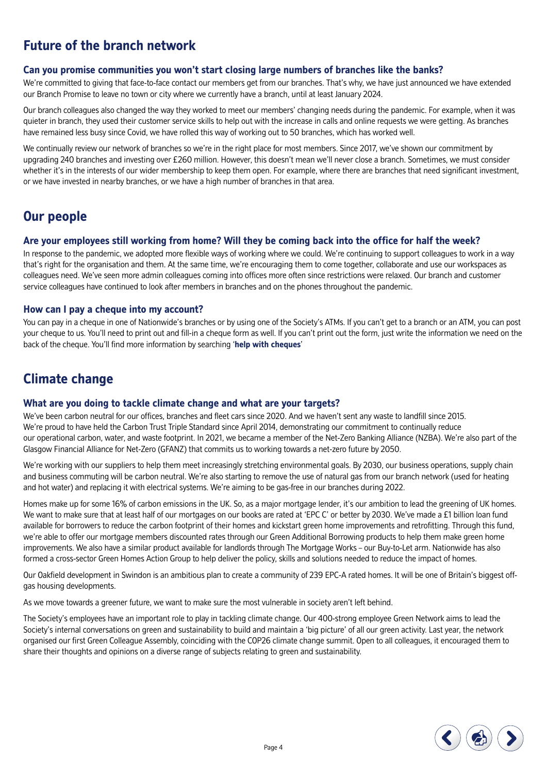# **Future of the branch network**

### **Can you promise communities you won't start closing large numbers of branches like the banks?**

We're committed to giving that face-to-face contact our members get from our branches. That's why, we have just announced we have extended our Branch Promise to leave no town or city where we currently have a branch, until at least January 2024.

Our branch colleagues also changed the way they worked to meet our members' changing needs during the pandemic. For example, when it was quieter in branch, they used their customer service skills to help out with the increase in calls and online requests we were getting. As branches have remained less busy since Covid, we have rolled this way of working out to 50 branches, which has worked well.

We continually review our network of branches so we're in the right place for most members. Since 2017, we've shown our commitment by upgrading 240 branches and investing over £260 million. However, this doesn't mean we'll never close a branch. Sometimes, we must consider whether it's in the interests of our wider membership to keep them open. For example, where there are branches that need significant investment, or we have invested in nearby branches, or we have a high number of branches in that area.

## **Our people**

### **Are your employees still working from home? Will they be coming back into the office for half the week?**

In response to the pandemic, we adopted more flexible ways of working where we could. We're continuing to support colleagues to work in a way that's right for the organisation and them. At the same time, we're encouraging them to come together, collaborate and use our workspaces as colleagues need. We've seen more admin colleagues coming into offices more often since restrictions were relaxed. Our branch and customer service colleagues have continued to look after members in branches and on the phones throughout the pandemic.

### **How can I pay a cheque into my account?**

You can pay in a cheque in one of Nationwide's branches or by using one of the Society's ATMs. If you can't get to a branch or an ATM, you can post your cheque to us. You'll need to print out and fill-in a cheque form as well. If you can't print out the form, just write the information we need on the back of the cheque. You'll find more information by searching '**[help with cheques](https://www.nationwide.co.uk/help/payments/cheques/)**'

# **Climate change**

### **What are you doing to tackle climate change and what are your targets?**

We've been carbon neutral for our offices, branches and fleet cars since 2020. And we haven't sent any waste to landfill since 2015. We're proud to have held the Carbon Trust Triple Standard since April 2014, demonstrating our commitment to continually reduce our operational carbon, water, and waste footprint. In 2021, we became a member of the Net-Zero Banking Alliance (NZBA). We're also part of the Glasgow Financial Alliance for Net-Zero (GFANZ) that commits us to working towards a net-zero future by 2050.

We're working with our suppliers to help them meet increasingly stretching environmental goals. By 2030, our business operations, supply chain and business commuting will be carbon neutral. We're also starting to remove the use of natural gas from our branch network (used for heating and hot water) and replacing it with electrical systems. We're aiming to be gas-free in our branches during 2022.

Homes make up for some 16% of carbon emissions in the UK. So, as a major mortgage lender, it's our ambition to lead the greening of UK homes. We want to make sure that at least half of our mortgages on our books are rated at 'EPC C' or better by 2030. We've made a £1 billion loan fund available for borrowers to reduce the carbon footprint of their homes and kickstart green home improvements and retrofitting. Through this fund, we're able to offer our mortgage members discounted rates through our Green Additional Borrowing products to help them make green home improvements. We also have a similar product available for landlords through The Mortgage Works – our Buy-to-Let arm. Nationwide has also formed a cross-sector Green Homes Action Group to help deliver the policy, skills and solutions needed to reduce the impact of homes.

Our Oakfield development in Swindon is an ambitious plan to create a community of 239 EPC-A rated homes. It will be one of Britain's biggest offgas housing developments.

As we move towards a greener future, we want to make sure the most vulnerable in society aren't left behind.

The Society's employees have an important role to play in tackling climate change. Our 400-strong employee Green Network aims to lead the Society's internal conversations on green and sustainability to build and maintain a 'big picture' of all our green activity. Last year, the network organised our first Green Colleague Assembly, coinciding with the COP26 climate change summit. Open to all colleagues, it encouraged them to share their thoughts and opinions on a diverse range of subjects relating to green and sustainability.